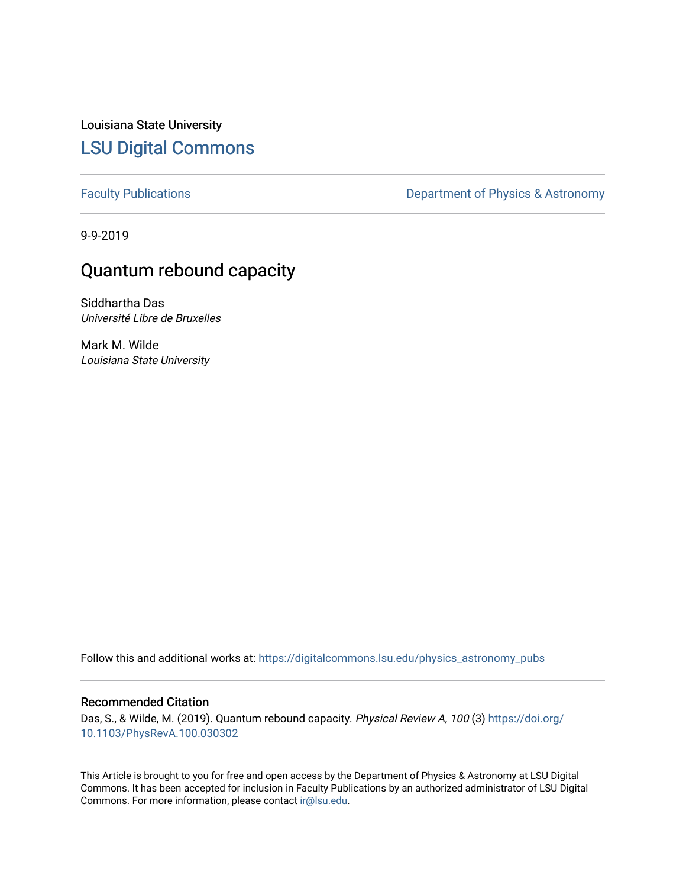Louisiana State University [LSU Digital Commons](https://digitalcommons.lsu.edu/)

[Faculty Publications](https://digitalcommons.lsu.edu/physics_astronomy_pubs) **Exercise 2** Constant Department of Physics & Astronomy

9-9-2019

### Quantum rebound capacity

Siddhartha Das Université Libre de Bruxelles

Mark M. Wilde Louisiana State University

Follow this and additional works at: [https://digitalcommons.lsu.edu/physics\\_astronomy\\_pubs](https://digitalcommons.lsu.edu/physics_astronomy_pubs?utm_source=digitalcommons.lsu.edu%2Fphysics_astronomy_pubs%2F5616&utm_medium=PDF&utm_campaign=PDFCoverPages) 

### Recommended Citation

Das, S., & Wilde, M. (2019). Quantum rebound capacity. Physical Review A, 100 (3) [https://doi.org/](https://doi.org/10.1103/PhysRevA.100.030302) [10.1103/PhysRevA.100.030302](https://doi.org/10.1103/PhysRevA.100.030302) 

This Article is brought to you for free and open access by the Department of Physics & Astronomy at LSU Digital Commons. It has been accepted for inclusion in Faculty Publications by an authorized administrator of LSU Digital Commons. For more information, please contact [ir@lsu.edu](mailto:ir@lsu.edu).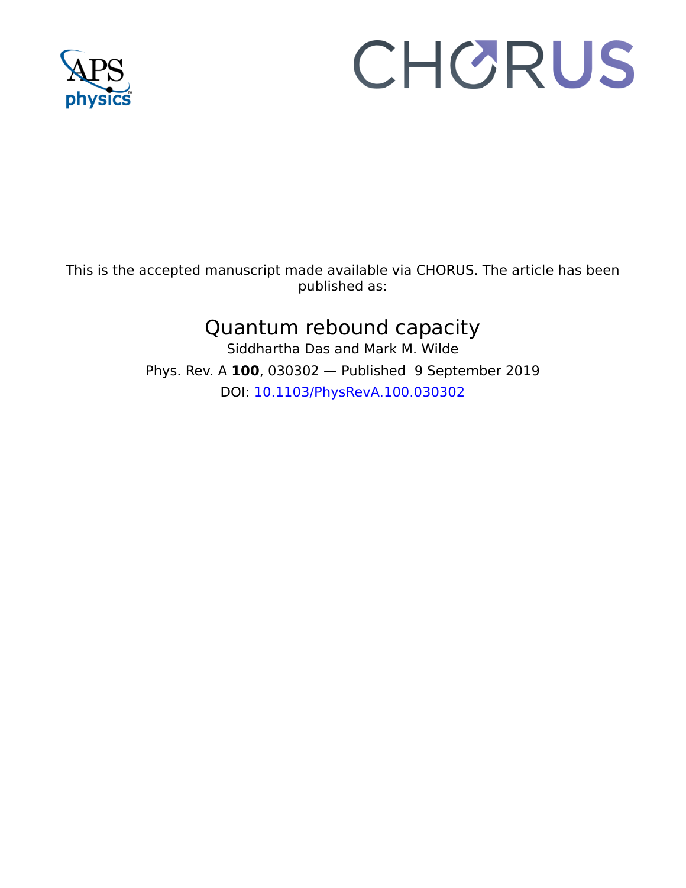

# CHORUS

This is the accepted manuscript made available via CHORUS. The article has been published as:

## Quantum rebound capacity

Siddhartha Das and Mark M. Wilde Phys. Rev. A **100**, 030302 — Published 9 September 2019 DOI: [10.1103/PhysRevA.100.030302](http://dx.doi.org/10.1103/PhysRevA.100.030302)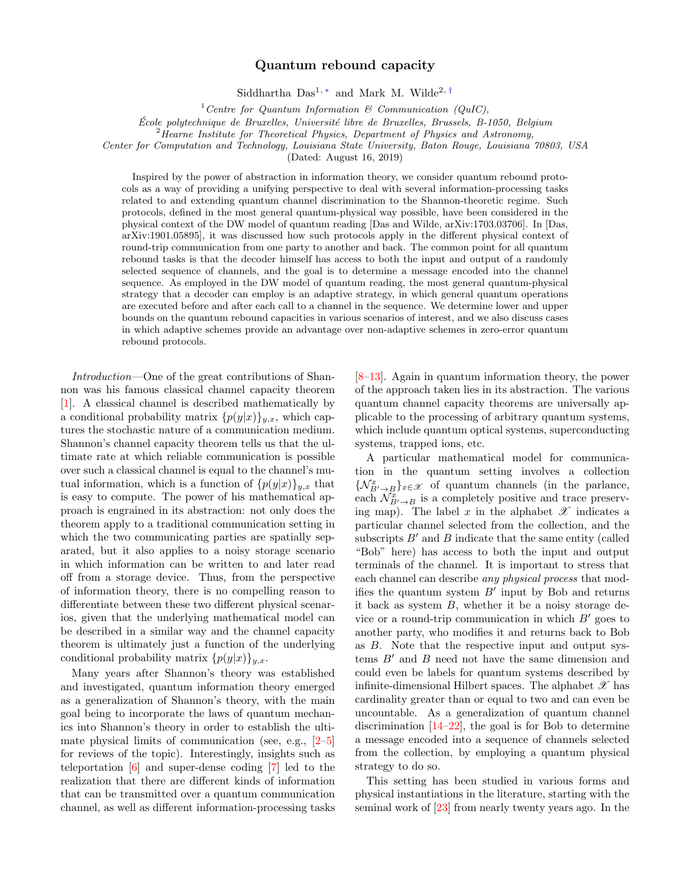#### Quantum rebound capacity

Siddhartha Das<sup>1,\*</sup> and Mark M. Wilde<sup>2,[†](#page-6-1)</sup>

<sup>1</sup> Centre for Quantum Information  $\mathcal{B}$  Communication (QuIC),

 $\acute{E}$ cole polytechnique de Bruxelles, Université libre de Bruxelles, Brussels, B-1050, Belgium

 $2$ Hearne Institute for Theoretical Physics, Department of Physics and Astronomy,

Center for Computation and Technology, Louisiana State University, Baton Rouge, Louisiana 70803, USA

(Dated: August 16, 2019)

Inspired by the power of abstraction in information theory, we consider quantum rebound protocols as a way of providing a unifying perspective to deal with several information-processing tasks related to and extending quantum channel discrimination to the Shannon-theoretic regime. Such protocols, defined in the most general quantum-physical way possible, have been considered in the physical context of the DW model of quantum reading [Das and Wilde, arXiv:1703.03706]. In [Das, arXiv:1901.05895], it was discussed how such protocols apply in the different physical context of round-trip communication from one party to another and back. The common point for all quantum rebound tasks is that the decoder himself has access to both the input and output of a randomly selected sequence of channels, and the goal is to determine a message encoded into the channel sequence. As employed in the DW model of quantum reading, the most general quantum-physical strategy that a decoder can employ is an adaptive strategy, in which general quantum operations are executed before and after each call to a channel in the sequence. We determine lower and upper bounds on the quantum rebound capacities in various scenarios of interest, and we also discuss cases in which adaptive schemes provide an advantage over non-adaptive schemes in zero-error quantum rebound protocols.

Introduction—One of the great contributions of Shannon was his famous classical channel capacity theorem [\[1\]](#page-6-2). A classical channel is described mathematically by a conditional probability matrix  $\{p(y|x)\}_{y,x}$ , which captures the stochastic nature of a communication medium. Shannon's channel capacity theorem tells us that the ultimate rate at which reliable communication is possible over such a classical channel is equal to the channel's mutual information, which is a function of  $\{p(y|x)\}_{y,x}$  that is easy to compute. The power of his mathematical approach is engrained in its abstraction: not only does the theorem apply to a traditional communication setting in which the two communicating parties are spatially separated, but it also applies to a noisy storage scenario in which information can be written to and later read off from a storage device. Thus, from the perspective of information theory, there is no compelling reason to differentiate between these two different physical scenarios, given that the underlying mathematical model can be described in a similar way and the channel capacity theorem is ultimately just a function of the underlying conditional probability matrix  $\{p(y|x)\}_{y,x}$ .

Many years after Shannon's theory was established and investigated, quantum information theory emerged as a generalization of Shannon's theory, with the main goal being to incorporate the laws of quantum mechanics into Shannon's theory in order to establish the ultimate physical limits of communication (see, e.g.,  $[2-5]$ ) for reviews of the topic). Interestingly, insights such as teleportation [\[6\]](#page-7-1) and super-dense coding [\[7\]](#page-7-2) led to the realization that there are different kinds of information that can be transmitted over a quantum communication channel, as well as different information-processing tasks

[\[8–](#page-7-3)[13\]](#page-7-4). Again in quantum information theory, the power of the approach taken lies in its abstraction. The various quantum channel capacity theorems are universally applicable to the processing of arbitrary quantum systems, which include quantum optical systems, superconducting systems, trapped ions, etc.

A particular mathematical model for communication in the quantum setting involves a collection  $\{\mathcal{N}_{B'\to B}^{x}\}_{x\in\mathscr{X}}$  of quantum channels (in the parlance, each  $\mathcal{N}_{B'\to B}^x$  is a completely positive and trace preserving map). The label x in the alphabet  $\mathscr X$  indicates a particular channel selected from the collection, and the subscripts  $B'$  and  $B$  indicate that the same entity (called "Bob" here) has access to both the input and output terminals of the channel. It is important to stress that each channel can describe any physical process that modifies the quantum system  $B'$  input by Bob and returns it back as system B, whether it be a noisy storage device or a round-trip communication in which  $B'$  goes to another party, who modifies it and returns back to Bob as B. Note that the respective input and output systems  $B'$  and  $B$  need not have the same dimension and could even be labels for quantum systems described by infinite-dimensional Hilbert spaces. The alphabet  $\mathscr X$  has cardinality greater than or equal to two and can even be uncountable. As a generalization of quantum channel discrimination [\[14–](#page-7-5)[22\]](#page-7-6), the goal is for Bob to determine a message encoded into a sequence of channels selected from the collection, by employing a quantum physical strategy to do so.

This setting has been studied in various forms and physical instantiations in the literature, starting with the seminal work of [\[23\]](#page-7-7) from nearly twenty years ago. In the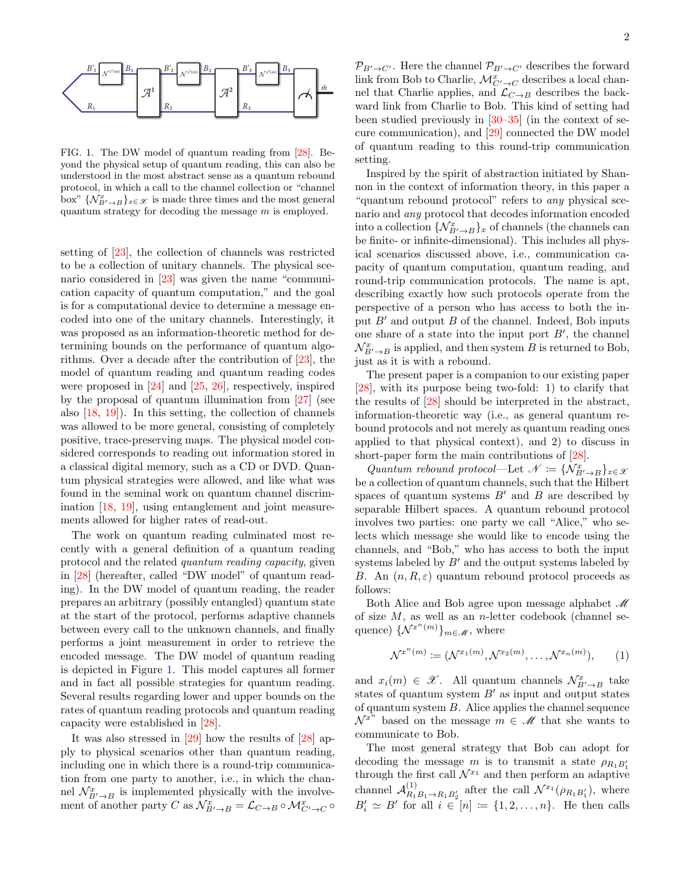

<span id="page-3-0"></span>FIG. 1. The DW model of quantum reading from [\[28\]](#page-7-8). Beyond the physical setup of quantum reading, this can also be understood in the most abstract sense as a quantum rebound protocol, in which a call to the channel collection or "channel box"  $\{\mathcal{N}_{B'\to B}^x\}_{x\in\mathcal{X}}$  is made three times and the most general quantum strategy for decoding the message m is employed.

setting of [\[23\]](#page-7-7), the collection of channels was restricted to be a collection of unitary channels. The physical scenario considered in [\[23\]](#page-7-7) was given the name "communication capacity of quantum computation," and the goal is for a computational device to determine a message encoded into one of the unitary channels. Interestingly, it was proposed as an information-theoretic method for determining bounds on the performance of quantum algorithms. Over a decade after the contribution of [\[23\]](#page-7-7), the model of quantum reading and quantum reading codes were proposed in [\[24\]](#page-7-9) and [\[25,](#page-7-10) [26\]](#page-7-11), respectively, inspired by the proposal of quantum illumination from [\[27\]](#page-7-12) (see also [\[18,](#page-7-13) [19\]](#page-7-14)). In this setting, the collection of channels was allowed to be more general, consisting of completely positive, trace-preserving maps. The physical model considered corresponds to reading out information stored in a classical digital memory, such as a CD or DVD. Quantum physical strategies were allowed, and like what was found in the seminal work on quantum channel discrimination [\[18,](#page-7-13) [19\]](#page-7-14), using entanglement and joint measurements allowed for higher rates of read-out.

The work on quantum reading culminated most recently with a general definition of a quantum reading protocol and the related quantum reading capacity, given in [\[28\]](#page-7-8) (hereafter, called "DW model" of quantum reading). In the DW model of quantum reading, the reader prepares an arbitrary (possibly entangled) quantum state at the start of the protocol, performs adaptive channels between every call to the unknown channels, and finally performs a joint measurement in order to retrieve the encoded message. The DW model of quantum reading is depicted in Figure [1.](#page-3-0) This model captures all former and in fact all possible strategies for quantum reading. Several results regarding lower and upper bounds on the rates of quantum reading protocols and quantum reading capacity were established in [\[28\]](#page-7-8).

It was also stressed in [\[29\]](#page-7-15) how the results of [\[28\]](#page-7-8) apply to physical scenarios other than quantum reading, including one in which there is a round-trip communication from one party to another, i.e., in which the channel  $\mathcal{N}_{B'\rightarrow B}^{x}$  is implemented physically with the involvement of another party C as  $\mathcal{N}_{B'\rightarrow B}^{x} = \mathcal{L}_{C\rightarrow B} \circ \mathcal{M}_{C'\rightarrow C}^{x} \circ$ 

 $\mathcal{P}_{B'\to C'}$ . Here the channel  $\mathcal{P}_{B'\to C'}$  describes the forward link from Bob to Charlie,  $\mathcal{M}_{C'\to C}^x$  describes a local channel that Charlie applies, and  $\mathcal{L}_{C\rightarrow B}$  describes the backward link from Charlie to Bob. This kind of setting had been studied previously in [\[30–](#page-7-16)[35\]](#page-7-17) (in the context of secure communication), and [\[29\]](#page-7-15) connected the DW model of quantum reading to this round-trip communication setting.

Inspired by the spirit of abstraction initiated by Shannon in the context of information theory, in this paper a "quantum rebound protocol" refers to any physical scenario and any protocol that decodes information encoded into a collection  $\{\mathcal{N}_{B'\to B}^{x}\}_x$  of channels (the channels can be finite- or infinite-dimensional). This includes all physical scenarios discussed above, i.e., communication capacity of quantum computation, quantum reading, and round-trip communication protocols. The name is apt, describing exactly how such protocols operate from the perspective of a person who has access to both the input  $B'$  and output  $B$  of the channel. Indeed, Bob inputs one share of a state into the input port  $B'$ , the channel  $\mathcal{N}_{B'\rightarrow B}^{x}$  is applied, and then system B is returned to Bob, just as it is with a rebound.

The present paper is a companion to our existing paper [\[28\]](#page-7-8), with its purpose being two-fold: 1) to clarify that the results of [\[28\]](#page-7-8) should be interpreted in the abstract, information-theoretic way (i.e., as general quantum rebound protocols and not merely as quantum reading ones applied to that physical context), and 2) to discuss in short-paper form the main contributions of [\[28\]](#page-7-8).

Quantum rebound protocol—Let  $\mathcal{N} \coloneqq \{ \mathcal{N}_{B' \to B}^x \}_{x \in \mathcal{X}}$ be a collection of quantum channels, such that the Hilbert spaces of quantum systems  $B'$  and B are described by separable Hilbert spaces. A quantum rebound protocol involves two parties: one party we call "Alice," who selects which message she would like to encode using the channels, and "Bob," who has access to both the input systems labeled by  $B'$  and the output systems labeled by B. An  $(n, R, \varepsilon)$  quantum rebound protocol proceeds as follows:

Both Alice and Bob agree upon message alphabet  $\mathscr M$ of size  $M$ , as well as an *n*-letter codebook (channel sequence)  $\{\mathcal{N}^{x^n(m)}\}_{m \in \mathcal{M}}$ , where

$$
\mathcal{N}^{x^n(m)} := (\mathcal{N}^{x_1(m)}, \mathcal{N}^{x_2(m)}, \dots, \mathcal{N}^{x_n(m)}), \qquad (1)
$$

and  $x_i(m) \in \mathcal{X}$ . All quantum channels  $\mathcal{N}_{B'\rightarrow B}^x$  take states of quantum system  $B'$  as input and output states of quantum system  $B$ . Alice applies the channel sequence  $\mathcal{N}^{x^n}$  based on the message  $m \in \mathcal{M}$  that she wants to communicate to Bob.

The most general strategy that Bob can adopt for decoding the message m is to transmit a state  $\rho_{R_1B_1}$ through the first call  $\mathcal{N}^{x_1}$  and then perform an adaptive channel  $\mathcal{A}_{R_1B_1\rightarrow R_1B'_2}^{(1)}$  after the call  $\mathcal{N}^{x_1}(\rho_{R_1B'_1}),$  where  $B_i' \simeq B'$  for all  $i \in [n] := \{1, 2, \ldots, n\}.$  He then calls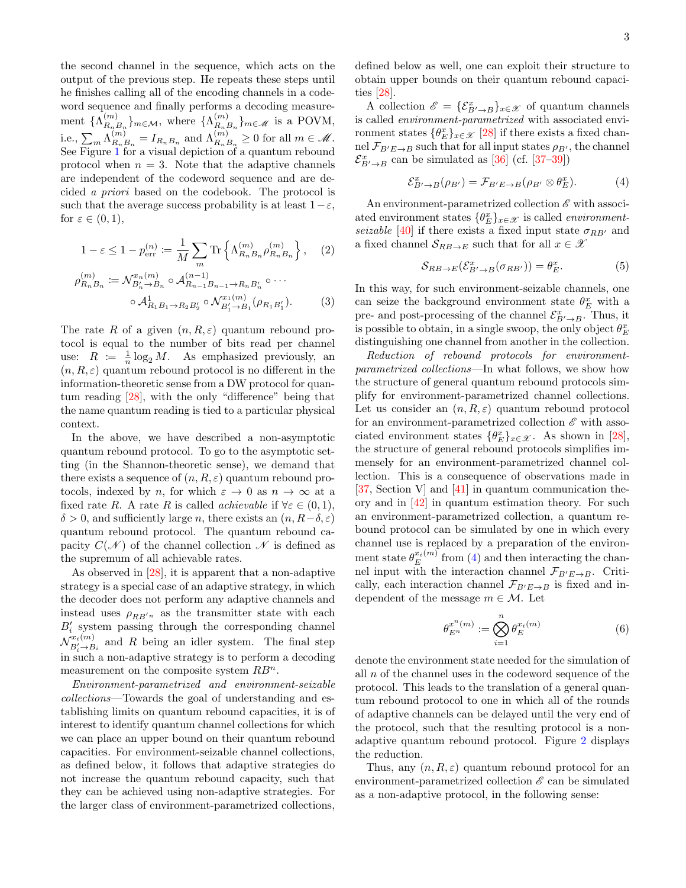the second channel in the sequence, which acts on the output of the previous step. He repeats these steps until he finishes calling all of the encoding channels in a codeword sequence and finally performs a decoding measurement  $\{\Lambda_{R_n}^{(m)}\}$  ${}_{R_nB_n}^{(m)}\}_{m\in\mathcal{M}}$ , where  $\{\Lambda_{R_n}^{(m)}\}$  $\binom{m}{R_n B_n}$ <sub>m∈M</sub> is a POVM, i.e.,  $\sum_m \Lambda_{R_n\,l}^{(m)}$  $R_n^{(m)} = I_{R_n, B_n}$  and  $\Lambda_{R_n, B_n}^{(m)} \geq 0$  for all  $m \in \mathcal{M}$ . See Figure [1](#page-3-0) for a visual depiction of a quantum rebound protocol when  $n = 3$ . Note that the adaptive channels are independent of the codeword sequence and are decided a priori based on the codebook. The protocol is such that the average success probability is at least  $1-\varepsilon$ , for  $\varepsilon \in (0,1)$ ,

$$
1 - \varepsilon \le 1 - p_{\text{err}}^{(n)} \coloneqq \frac{1}{M} \sum_{m} \text{Tr} \left\{ \Lambda_{R_n B_n}^{(m)} \rho_{R_n B_n}^{(m)} \right\}, \quad (2)
$$

$$
\rho_{R_n B_n}^{(m)} := \mathcal{N}_{B_n' \to B_n}^{x_n(m)} \circ \mathcal{A}_{R_{n-1} B_{n-1} \to R_n B_n'}^{(n-1)} \circ \cdots
$$

$$
\circ \mathcal{A}_{R_1 B_1 \to R_2 B_2'}^{1} \circ \mathcal{N}_{B_1' \to B_1}^{x_1(m)} (\rho_{R_1 B_1'}).
$$
(3)

The rate R of a given  $(n, R, \varepsilon)$  quantum rebound protocol is equal to the number of bits read per channel use:  $R := \frac{1}{n} \log_2 M$ . As emphasized previously, an  $(n, R, \varepsilon)$  quantum rebound protocol is no different in the information-theoretic sense from a DW protocol for quantum reading [\[28\]](#page-7-8), with the only "difference" being that the name quantum reading is tied to a particular physical context.

In the above, we have described a non-asymptotic quantum rebound protocol. To go to the asymptotic setting (in the Shannon-theoretic sense), we demand that there exists a sequence of  $(n, R, \varepsilon)$  quantum rebound protocols, indexed by n, for which  $\varepsilon \to 0$  as  $n \to \infty$  at a fixed rate R. A rate R is called *achievable* if  $\forall \varepsilon \in (0,1)$ ,  $\delta > 0$ , and sufficiently large n, there exists an  $(n, R-\delta, \varepsilon)$ quantum rebound protocol. The quantum rebound capacity  $C(\mathcal{N})$  of the channel collection  $\mathcal N$  is defined as the supremum of all achievable rates.

As observed in [\[28\]](#page-7-8), it is apparent that a non-adaptive strategy is a special case of an adaptive strategy, in which the decoder does not perform any adaptive channels and instead uses  $\rho_{RB'n}$  as the transmitter state with each  $B_i'$  system passing through the corresponding channel  $\mathcal{N}_{B_i^{\prime}\to B_i}^{x_i(m)}$  and R being an idler system. The final step in such a non-adaptive strategy is to perform a decoding measurement on the composite system  $RB^n$ .

Environment-parametrized and environment-seizable collections—Towards the goal of understanding and establishing limits on quantum rebound capacities, it is of interest to identify quantum channel collections for which we can place an upper bound on their quantum rebound capacities. For environment-seizable channel collections, as defined below, it follows that adaptive strategies do not increase the quantum rebound capacity, such that they can be achieved using non-adaptive strategies. For the larger class of environment-parametrized collections,

defined below as well, one can exploit their structure to obtain upper bounds on their quantum rebound capacities [\[28\]](#page-7-8).

A collection  $\mathscr{E} = {\mathcal{E}_{B'\to B}^x}_{x \in \mathscr{X}}$  of quantum channels is called environment-parametrized with associated environment states  $\{\theta_E^x\}_{x \in \mathcal{X}}$  [\[28\]](#page-7-8) if there exists a fixed channel  $\mathcal{F}_{B'E\to B}$  such that for all input states  $\rho_{B'}$ , the channel  $\mathcal{E}_{B'\rightarrow B}^{x}$  can be simulated as [\[36\]](#page-7-18) (cf. [\[37–](#page-7-19)[39\]](#page-8-0))

<span id="page-4-0"></span>
$$
\mathcal{E}_{B'\to B}^x(\rho_{B'}) = \mathcal{F}_{B'E\to B}(\rho_{B'} \otimes \theta_E^x). \tag{4}
$$

An environment-parametrized collection  $\mathscr E$  with associated environment states  $\{\theta_E^x\}_{x \in \mathcal{X}}$  is called *environment*-seizable [\[40\]](#page-8-1) if there exists a fixed input state  $\sigma_{RB'}$  and a fixed channel  $S_{RB\rightarrow E}$  such that for all  $x \in \mathcal{X}$ 

<span id="page-4-1"></span>
$$
S_{RB \to E}(\mathcal{E}_{B' \to B}^{x}(\sigma_{RB'})) = \theta_{E}^{x}.
$$
 (5)

In this way, for such environment-seizable channels, one can seize the background environment state  $\theta^x_E$  with a pre- and post-processing of the channel  $\mathcal{E}_{B'\to B}^x$ . Thus, it is possible to obtain, in a single swoop, the only object  $\theta_E^x$ distinguishing one channel from another in the collection.

Reduction of rebound protocols for environmentparametrized collections—In what follows, we show how the structure of general quantum rebound protocols simplify for environment-parametrized channel collections. Let us consider an  $(n, R, \varepsilon)$  quantum rebound protocol for an environment-parametrized collection  $\mathscr E$  with associated environment states  $\{\theta_E^x\}_{x \in \mathcal{X}}$ . As shown in [\[28\]](#page-7-8), the structure of general rebound protocols simplifies immensely for an environment-parametrized channel collection. This is a consequence of observations made in [\[37,](#page-7-19) Section V] and [\[41\]](#page-8-2) in quantum communication theory and in [\[42\]](#page-8-3) in quantum estimation theory. For such an environment-parametrized collection, a quantum rebound protocol can be simulated by one in which every channel use is replaced by a preparation of the environment state  $\theta_E^{x_i(m)}$  from [\(4\)](#page-4-0) and then interacting the channel input with the interaction channel  $\mathcal{F}_{B'E\to B}$ . Critically, each interaction channel  $\mathcal{F}_{B'E\to B}$  is fixed and independent of the message  $m \in \mathcal{M}$ . Let

$$
\theta_{E^n}^{x^n(m)} := \bigotimes_{i=1}^n \theta_E^{x_i(m)} \tag{6}
$$

denote the environment state needed for the simulation of all  $n$  of the channel uses in the codeword sequence of the protocol. This leads to the translation of a general quantum rebound protocol to one in which all of the rounds of adaptive channels can be delayed until the very end of the protocol, such that the resulting protocol is a nonadaptive quantum rebound protocol. Figure [2](#page-5-0) displays the reduction.

Thus, any  $(n, R, \varepsilon)$  quantum rebound protocol for an environment-parametrized collection  $\mathscr E$  can be simulated as a non-adaptive protocol, in the following sense: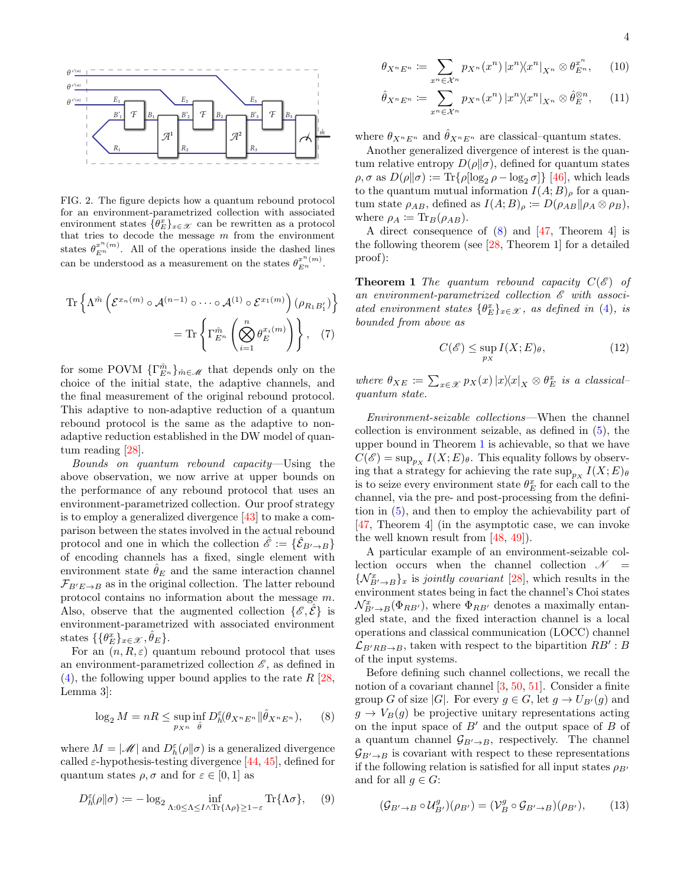

<span id="page-5-0"></span>FIG. 2. The figure depicts how a quantum rebound protocol for an environment-parametrized collection with associated environment states  $\{\theta_E^x\}_{x \in \mathcal{X}}$  can be rewritten as a protocol that tries to decode the message  $m$  from the environment states  $\theta_{E^n}^{x^n(m)}$ . All of the operations inside the dashed lines can be understood as a measurement on the states  $\theta_{En}^{x^n(m)}$ .

$$
\operatorname{Tr}\left\{\Lambda^{\hat{m}}\left(\mathcal{E}^{x_n(m)}\circ\mathcal{A}^{(n-1)}\circ\cdots\circ\mathcal{A}^{(1)}\circ\mathcal{E}^{x_1(m)}\right)(\rho_{R_1B'_1})\right\}
$$

$$
=\operatorname{Tr}\left\{\Gamma_{E^n}^{\hat{m}}\left(\bigotimes_{i=1}^n\theta_E^{x_i(m)}\right)\right\},\quad(7)
$$

for some POVM  $\{\Gamma^{\hat{m}}_{E^n}\}_{\hat{m}\in\mathcal{M}}$  that depends only on the choice of the initial state, the adaptive channels, and the final measurement of the original rebound protocol. This adaptive to non-adaptive reduction of a quantum rebound protocol is the same as the adaptive to nonadaptive reduction established in the DW model of quantum reading [\[28\]](#page-7-8).

Bounds on quantum rebound capacity—Using the above observation, we now arrive at upper bounds on the performance of any rebound protocol that uses an environment-parametrized collection. Our proof strategy is to employ a generalized divergence [\[43\]](#page-8-4) to make a comparison between the states involved in the actual rebound protocol and one in which the collection  $\hat{\mathscr{E}} := {\hat{\mathcal{E}}_{B\rightarrow B}}$ of encoding channels has a fixed, single element with environment state  $\theta_E$  and the same interaction channel  $\mathcal{F}_{B'E\rightarrow B}$  as in the original collection. The latter rebound protocol contains no information about the message m. Also, observe that the augmented collection  $\{\mathscr{E}, \mathscr{E}\}\$ is environment-parametrized with associated environment states  $\{\{\theta_E^x\}_{x\in\mathscr{X}}, \hat{\theta}_E\}.$ 

For an  $(n, R, \varepsilon)$  quantum rebound protocol that uses an environment-parametrized collection  $\mathscr{E}$ , as defined in  $(4)$ , the following upper bound applies to the rate R [\[28,](#page-7-8) Lemma 3]:

<span id="page-5-1"></span>
$$
\log_2 M = nR \le \sup_{p_{X^n}} \inf_{\hat{\theta}} D_h^{\varepsilon}(\theta_{X^n E^n} \| \hat{\theta}_{X^n E^n}), \quad (8)
$$

where  $M = |\mathcal{M}|$  and  $D_h^{\varepsilon}(\rho||\sigma)$  is a generalized divergence called  $\varepsilon$ -hypothesis-testing divergence [\[44,](#page-8-5) [45\]](#page-8-6), defined for quantum states  $\rho, \sigma$  and for  $\varepsilon \in [0, 1]$  as

$$
D_h^{\varepsilon}(\rho \| \sigma) := -\log_2 \inf_{\Lambda: 0 \le \Lambda \le I \wedge \text{Tr}\{\Lambda \rho\} \ge 1-\varepsilon} \text{Tr}\{\Lambda \sigma\}, \quad (9)
$$

$$
\theta_{X^n E^n} \coloneqq \sum_{x^n \in \mathcal{X}^n} p_{X^n}(x^n) \left| x^n \right|_{X^n} \otimes \theta_{E^n}^{x^n}, \qquad (10)
$$

$$
\hat{\theta}_{X^n E^n} \coloneqq \sum_{x^n \in \mathcal{X}^n} p_{X^n}(x^n) \left| x^n \right|_{X^n} \otimes \hat{\theta}_E^{\otimes n}, \qquad (11)
$$

where  $\theta_{X^n E^n}$  and  $\hat{\theta}_{X^n E^n}$  are classical–quantum states.

Another generalized divergence of interest is the quantum relative entropy  $D(\rho||\sigma)$ , defined for quantum states  $\rho, \sigma$  as  $D(\rho||\sigma) := \text{Tr}\{\rho[\log_2 \rho - \log_2 \sigma]\}\$  [\[46\]](#page-8-7), which leads to the quantum mutual information  $I(A;B)$ <sub>ρ</sub> for a quantum state  $\rho_{AB}$ , defined as  $I(A;B)_{\rho} \coloneqq D(\rho_{AB}|| \rho_A \otimes \rho_B),$ where  $\rho_A \coloneqq \text{Tr}_B(\rho_{AB}).$ 

<span id="page-5-2"></span>A direct consequence of [\(8\)](#page-5-1) and [\[47,](#page-8-8) Theorem 4] is the following theorem (see [\[28,](#page-7-8) Theorem 1] for a detailed proof):

**Theorem 1** The quantum rebound capacity  $C(\mathscr{E})$  of an environment-parametrized collection  $\mathscr E$  with associated environment states  $\{\theta_E^x\}_{x \in \mathcal{X}}$ , as defined in [\(4\)](#page-4-0), is bounded from above as

$$
C(\mathscr{E}) \le \sup_{p_X} I(X; E)_{\theta},\tag{12}
$$

where  $\theta_{XE} := \sum_{x \in \mathcal{X}} p_X(x) |x\rangle\langle x|_X \otimes \theta_E^x$  is a classicalquantum state.

Environment-seizable collections—When the channel collection is environment seizable, as defined in [\(5\)](#page-4-1), the upper bound in Theorem [1](#page-5-2) is achievable, so that we have  $C(\mathscr{E}) = \sup_{p_X} I(X; E)_{\theta}$ . This equality follows by observing that a strategy for achieving the rate  $\sup_{p_X} I(X; E)_{\theta}$ is to seize every environment state  $\theta_E^x$  for each call to the channel, via the pre- and post-processing from the definition in [\(5\)](#page-4-1), and then to employ the achievability part of [\[47,](#page-8-8) Theorem 4] (in the asymptotic case, we can invoke the well known result from [\[48,](#page-8-9) [49\]](#page-8-10)).

A particular example of an environment-seizable collection occurs when the channel collection  $\mathcal{N}$  =  $\{\mathcal{N}_{B'\to B}^x\}_x$  is jointly covariant [\[28\]](#page-7-8), which results in the environment states being in fact the channel's Choi states  $\mathcal{N}_{B'\rightarrow B}^{x}(\Phi_{RB'})$ , where  $\Phi_{RB'}$  denotes a maximally entangled state, and the fixed interaction channel is a local operations and classical communication (LOCC) channel  $\mathcal{L}_{B'RB\rightarrow B}$ , taken with respect to the bipartition  $RB':B$ of the input systems.

Before defining such channel collections, we recall the notion of a covariant channel [\[3,](#page-7-20) [50,](#page-8-11) [51\]](#page-8-12). Consider a finite group G of size |G|. For every  $g \in G$ , let  $g \to U_{B'}(g)$  and  $g \to V_B(g)$  be projective unitary representations acting on the input space of  $B'$  and the output space of B of a quantum channel  $\mathcal{G}_{B'\to B}$ , respectively. The channel  $\mathcal{G}_{B'\to B}$  is covariant with respect to these representations if the following relation is satisfied for all input states  $\rho_{B}$ and for all  $g \in G$ :

$$
(\mathcal{G}_{B'\to B}\circ\mathcal{U}_{B'}^g)(\rho_{B'})=(\mathcal{V}_B^g\circ\mathcal{G}_{B'\to B})(\rho_{B'}),\qquad(13)
$$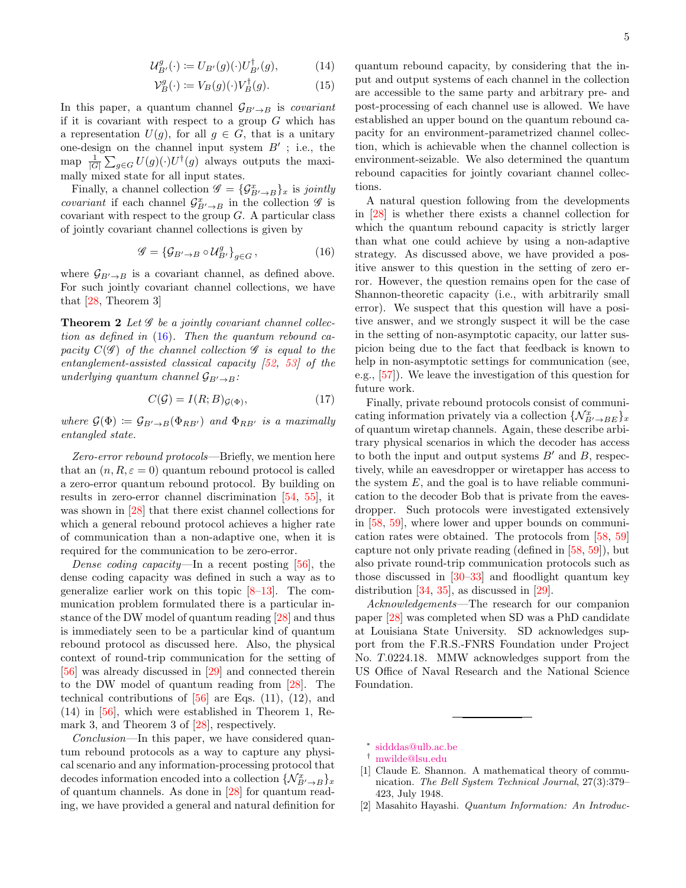$$
\mathcal{U}_{B'}^g(\cdot) := U_{B'}(g)(\cdot)U_{B'}^{\dagger}(g),\tag{14}
$$

$$
\mathcal{V}_B^g(\cdot) \coloneqq V_B(g)(\cdot) V_B^{\dagger}(g). \tag{15}
$$

In this paper, a quantum channel  $\mathcal{G}_{B'\to B}$  is *covariant* if it is covariant with respect to a group  $G$  which has a representation  $U(g)$ , for all  $g \in G$ , that is a unitary one-design on the channel input system  $B'$ ; i.e., the map  $\frac{1}{|G|}\sum_{g\in G}U(g)(\cdot)U^{\dagger}(g)$  always outputs the maximally mixed state for all input states.

Finally, a channel collection  $\mathscr{G} = {\{\mathcal{G}_{B'\to B}^x\}_x}$  is jointly *covariant* if each channel  $\mathcal{G}_{B'\to B}^x$  in the collection  $\mathscr G$  is covariant with respect to the group  $G$ . A particular class of jointly covariant channel collections is given by

<span id="page-6-4"></span>
$$
\mathcal{G} = \{ \mathcal{G}_{B' \to B} \circ \mathcal{U}_{B'}^g \}_{g \in G},\tag{16}
$$

where  $\mathcal{G}_{B\prime\rightarrow B}$  is a covariant channel, as defined above. For such jointly covariant channel collections, we have that [\[28,](#page-7-8) Theorem 3]

**Theorem 2** Let  $\mathscr G$  be a jointly covariant channel collection as defined in [\(16\)](#page-6-4). Then the quantum rebound capacity  $C(\mathscr{G})$  of the channel collection  $\mathscr{G}$  is equal to the entanglement-assisted classical capacity [\[52,](#page-8-13) [53\]](#page-8-14) of the underlying quantum channel  $\mathcal{G}_{B'\rightarrow B}$ :

$$
C(\mathcal{G}) = I(R;B)_{\mathcal{G}(\Phi)},\tag{17}
$$

where  $\mathcal{G}(\Phi) := \mathcal{G}_{B' \to B}(\Phi_{RB'})$  and  $\Phi_{RB'}$  is a maximally entangled state.

Zero-error rebound protocols—Briefly, we mention here that an  $(n, R, \varepsilon = 0)$  quantum rebound protocol is called a zero-error quantum rebound protocol. By building on results in zero-error channel discrimination [\[54,](#page-8-15) [55\]](#page-8-16), it was shown in [\[28\]](#page-7-8) that there exist channel collections for which a general rebound protocol achieves a higher rate of communication than a non-adaptive one, when it is required for the communication to be zero-error.

Dense coding capacity—In a recent posting  $[56]$ , the dense coding capacity was defined in such a way as to generalize earlier work on this topic [\[8–](#page-7-3)[13\]](#page-7-4). The communication problem formulated there is a particular instance of the DW model of quantum reading [\[28\]](#page-7-8) and thus is immediately seen to be a particular kind of quantum rebound protocol as discussed here. Also, the physical context of round-trip communication for the setting of [\[56\]](#page-8-17) was already discussed in [\[29\]](#page-7-15) and connected therein to the DW model of quantum reading from [\[28\]](#page-7-8). The technical contributions of  $[56]$  are Eqs. (11), (12), and (14) in [\[56\]](#page-8-17), which were established in Theorem 1, Remark 3, and Theorem 3 of [\[28\]](#page-7-8), respectively.

Conclusion—In this paper, we have considered quantum rebound protocols as a way to capture any physical scenario and any information-processing protocol that decodes information encoded into a collection  $\{N_{B'\to B}^x\}_x$ of quantum channels. As done in [\[28\]](#page-7-8) for quantum reading, we have provided a general and natural definition for quantum rebound capacity, by considering that the input and output systems of each channel in the collection are accessible to the same party and arbitrary pre- and post-processing of each channel use is allowed. We have established an upper bound on the quantum rebound capacity for an environment-parametrized channel collection, which is achievable when the channel collection is environment-seizable. We also determined the quantum rebound capacities for jointly covariant channel collections.

A natural question following from the developments in [\[28\]](#page-7-8) is whether there exists a channel collection for which the quantum rebound capacity is strictly larger than what one could achieve by using a non-adaptive strategy. As discussed above, we have provided a positive answer to this question in the setting of zero error. However, the question remains open for the case of Shannon-theoretic capacity (i.e., with arbitrarily small error). We suspect that this question will have a positive answer, and we strongly suspect it will be the case in the setting of non-asymptotic capacity, our latter suspicion being due to the fact that feedback is known to help in non-asymptotic settings for communication (see, e.g., [\[57\]](#page-8-18)). We leave the investigation of this question for future work.

Finally, private rebound protocols consist of communicating information privately via a collection  $\{ \mathcal{N}_{B'\to BE}^x \}_x$ of quantum wiretap channels. Again, these describe arbitrary physical scenarios in which the decoder has access to both the input and output systems  $B'$  and B, respectively, while an eavesdropper or wiretapper has access to the system  $E$ , and the goal is to have reliable communication to the decoder Bob that is private from the eavesdropper. Such protocols were investigated extensively in [\[58,](#page-8-19) [59\]](#page-8-20), where lower and upper bounds on communication rates were obtained. The protocols from [\[58,](#page-8-19) [59\]](#page-8-20) capture not only private reading (defined in [\[58,](#page-8-19) [59\]](#page-8-20)), but also private round-trip communication protocols such as those discussed in [\[30–](#page-7-16)[33\]](#page-7-21) and floodlight quantum key distribution [\[34,](#page-7-22) [35\]](#page-7-17), as discussed in [\[29\]](#page-7-15).

Acknowledgements—The research for our companion paper [\[28\]](#page-7-8) was completed when SD was a PhD candidate at Louisiana State University. SD acknowledges support from the F.R.S.-FNRS Foundation under Project No. T.0224.18. MMW acknowledges support from the US Office of Naval Research and the National Science Foundation.

<span id="page-6-3"></span>[2] Masahito Hayashi. Quantum Information: An Introduc-

<span id="page-6-0"></span><sup>∗</sup> [sidddas@ulb.ac.be](mailto:sidddas@ulb.ac.be)

<span id="page-6-1"></span><sup>†</sup> [mwilde@lsu.edu](mailto:mwilde@lsu.edu)

<span id="page-6-2"></span><sup>[1]</sup> Claude E. Shannon. A mathematical theory of communication. The Bell System Technical Journal, 27(3):379– 423, July 1948.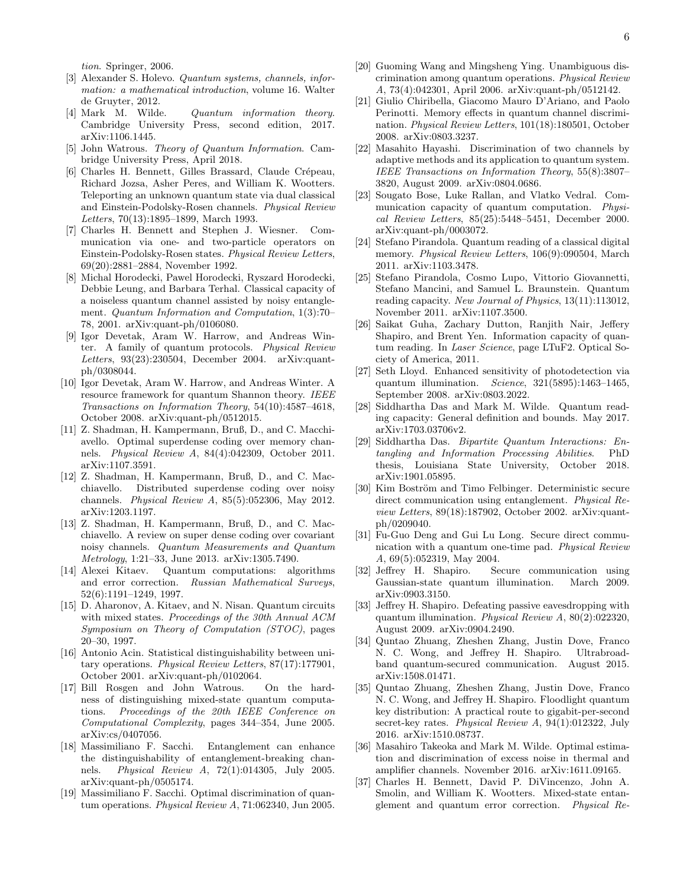tion. Springer, 2006.

- <span id="page-7-20"></span>[3] Alexander S. Holevo. Quantum systems, channels, information: a mathematical introduction, volume 16. Walter de Gruyter, 2012.
- [4] Mark M. Wilde. Quantum information theory. Cambridge University Press, second edition, 2017. arXiv:1106.1445.
- <span id="page-7-0"></span>[5] John Watrous. Theory of Quantum Information. Cambridge University Press, April 2018.
- <span id="page-7-1"></span>[6] Charles H. Bennett, Gilles Brassard, Claude Crépeau, Richard Jozsa, Asher Peres, and William K. Wootters. Teleporting an unknown quantum state via dual classical and Einstein-Podolsky-Rosen channels. Physical Review Letters, 70(13):1895–1899, March 1993.
- <span id="page-7-2"></span>[7] Charles H. Bennett and Stephen J. Wiesner. Communication via one- and two-particle operators on Einstein-Podolsky-Rosen states. Physical Review Letters, 69(20):2881–2884, November 1992.
- <span id="page-7-3"></span>[8] Michal Horodecki, Pawel Horodecki, Ryszard Horodecki, Debbie Leung, and Barbara Terhal. Classical capacity of a noiseless quantum channel assisted by noisy entanglement. Quantum Information and Computation, 1(3):70– 78, 2001. arXiv:quant-ph/0106080.
- [9] Igor Devetak, Aram W. Harrow, and Andreas Winter. A family of quantum protocols. Physical Review Letters, 93(23):230504, December 2004. arXiv:quantph/0308044.
- [10] Igor Devetak, Aram W. Harrow, and Andreas Winter. A resource framework for quantum Shannon theory. IEEE Transactions on Information Theory, 54(10):4587–4618, October 2008. arXiv:quant-ph/0512015.
- [11] Z. Shadman, H. Kampermann, Bruß, D., and C. Macchiavello. Optimal superdense coding over memory channels. Physical Review A, 84(4):042309, October 2011. arXiv:1107.3591.
- [12] Z. Shadman, H. Kampermann, Bruß, D., and C. Macchiavello. Distributed superdense coding over noisy channels. Physical Review A, 85(5):052306, May 2012. arXiv:1203.1197.
- <span id="page-7-4"></span>[13] Z. Shadman, H. Kampermann, Bruß, D., and C. Macchiavello. A review on super dense coding over covariant noisy channels. Quantum Measurements and Quantum Metrology, 1:21–33, June 2013. arXiv:1305.7490.
- <span id="page-7-5"></span>[14] Alexei Kitaev. Quantum computations: algorithms and error correction. Russian Mathematical Surveys, 52(6):1191–1249, 1997.
- [15] D. Aharonov, A. Kitaev, and N. Nisan. Quantum circuits with mixed states. Proceedings of the 30th Annual ACM Symposium on Theory of Computation (STOC), pages 20–30, 1997.
- [16] Antonio Acin. Statistical distinguishability between unitary operations. Physical Review Letters, 87(17):177901, October 2001. arXiv:quant-ph/0102064.
- [17] Bill Rosgen and John Watrous. On the hardness of distinguishing mixed-state quantum computations. Proceedings of the 20th IEEE Conference on Computational Complexity, pages 344–354, June 2005. arXiv:cs/0407056.
- <span id="page-7-13"></span>[18] Massimiliano F. Sacchi. Entanglement can enhance the distinguishability of entanglement-breaking channels. Physical Review A, 72(1):014305, July 2005. arXiv:quant-ph/0505174.
- <span id="page-7-14"></span>[19] Massimiliano F. Sacchi. Optimal discrimination of quantum operations. Physical Review A, 71:062340, Jun 2005.
- [20] Guoming Wang and Mingsheng Ying. Unambiguous discrimination among quantum operations. Physical Review A, 73(4):042301, April 2006. arXiv:quant-ph/0512142.
- [21] Giulio Chiribella, Giacomo Mauro D'Ariano, and Paolo Perinotti. Memory effects in quantum channel discrimination. Physical Review Letters, 101(18):180501, October 2008. arXiv:0803.3237.
- <span id="page-7-6"></span>[22] Masahito Hayashi. Discrimination of two channels by adaptive methods and its application to quantum system. IEEE Transactions on Information Theory, 55(8):3807– 3820, August 2009. arXiv:0804.0686.
- <span id="page-7-7"></span>[23] Sougato Bose, Luke Rallan, and Vlatko Vedral. Communication capacity of quantum computation. Physical Review Letters, 85(25):5448–5451, December 2000. arXiv:quant-ph/0003072.
- <span id="page-7-9"></span>[24] Stefano Pirandola. Quantum reading of a classical digital memory. Physical Review Letters, 106(9):090504, March 2011. arXiv:1103.3478.
- <span id="page-7-10"></span>[25] Stefano Pirandola, Cosmo Lupo, Vittorio Giovannetti, Stefano Mancini, and Samuel L. Braunstein. Quantum reading capacity. New Journal of Physics, 13(11):113012, November 2011. arXiv:1107.3500.
- <span id="page-7-11"></span>[26] Saikat Guha, Zachary Dutton, Ranjith Nair, Jeffery Shapiro, and Brent Yen. Information capacity of quantum reading. In Laser Science, page LTuF2. Optical Society of America, 2011.
- <span id="page-7-12"></span>[27] Seth Lloyd. Enhanced sensitivity of photodetection via quantum illumination. Science, 321(5895):1463–1465, September 2008. arXiv:0803.2022.
- <span id="page-7-8"></span>[28] Siddhartha Das and Mark M. Wilde. Quantum reading capacity: General definition and bounds. May 2017. arXiv:1703.03706v2.
- <span id="page-7-15"></span>[29] Siddhartha Das. Bipartite Quantum Interactions: Entangling and Information Processing Abilities. PhD thesis, Louisiana State University, October 2018. arXiv:1901.05895.
- <span id="page-7-16"></span>[30] Kim Boström and Timo Felbinger. Deterministic secure direct communication using entanglement. Physical Review Letters, 89(18):187902, October 2002. arXiv:quantph/0209040.
- [31] Fu-Guo Deng and Gui Lu Long. Secure direct communication with a quantum one-time pad. Physical Review A, 69(5):052319, May 2004.
- [32] Jeffrey H. Shapiro. Secure communication using Gaussian-state quantum illumination. March 2009. arXiv:0903.3150.
- <span id="page-7-21"></span>[33] Jeffrey H. Shapiro. Defeating passive eavesdropping with quantum illumination. Physical Review A, 80(2):022320, August 2009. arXiv:0904.2490.
- <span id="page-7-22"></span>[34] Quntao Zhuang, Zheshen Zhang, Justin Dove, Franco N. C. Wong, and Jeffrey H. Shapiro. Ultrabroadband quantum-secured communication. August 2015. arXiv:1508.01471.
- <span id="page-7-17"></span>[35] Quntao Zhuang, Zheshen Zhang, Justin Dove, Franco N. C. Wong, and Jeffrey H. Shapiro. Floodlight quantum key distribution: A practical route to gigabit-per-second secret-key rates. Physical Review A, 94(1):012322, July 2016. arXiv:1510.08737.
- <span id="page-7-18"></span>[36] Masahiro Takeoka and Mark M. Wilde. Optimal estimation and discrimination of excess noise in thermal and amplifier channels. November 2016. arXiv:1611.09165.
- <span id="page-7-19"></span>[37] Charles H. Bennett, David P. DiVincenzo, John A. Smolin, and William K. Wootters. Mixed-state entanglement and quantum error correction. Physical Re-